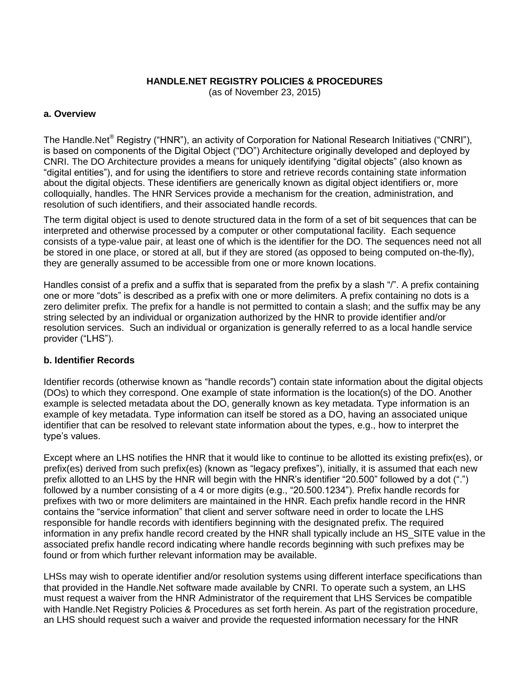## **HANDLE.NET REGISTRY POLICIES & PROCEDURES**

(as of November 23, 2015)

### **a. Overview**

The Handle.Net<sup>®</sup> Registry ("HNR"), an activity of Corporation for National Research Initiatives ("CNRI"), is based on components of the Digital Object ("DO") Architecture originally developed and deployed by CNRI. The DO Architecture provides a means for uniquely identifying "digital objects" (also known as "digital entities"), and for using the identifiers to store and retrieve records containing state information about the digital objects. These identifiers are generically known as digital object identifiers or, more colloquially, handles. The HNR Services provide a mechanism for the creation, administration, and resolution of such identifiers, and their associated handle records.

The term digital object is used to denote structured data in the form of a set of bit sequences that can be interpreted and otherwise processed by a computer or other computational facility. Each sequence consists of a type-value pair, at least one of which is the identifier for the DO. The sequences need not all be stored in one place, or stored at all, but if they are stored (as opposed to being computed on-the-fly), they are generally assumed to be accessible from one or more known locations.

Handles consist of a prefix and a suffix that is separated from the prefix by a slash "/". A prefix containing one or more "dots" is described as a prefix with one or more delimiters. A prefix containing no dots is a zero delimiter prefix. The prefix for a handle is not permitted to contain a slash; and the suffix may be any string selected by an individual or organization authorized by the HNR to provide identifier and/or resolution services. Such an individual or organization is generally referred to as a local handle service provider ("LHS").

#### **b. Identifier Records**

Identifier records (otherwise known as "handle records") contain state information about the digital objects (DOs) to which they correspond. One example of state information is the location(s) of the DO. Another example is selected metadata about the DO, generally known as key metadata. Type information is an example of key metadata. Type information can itself be stored as a DO, having an associated unique identifier that can be resolved to relevant state information about the types, e.g., how to interpret the type's values.

Except where an LHS notifies the HNR that it would like to continue to be allotted its existing prefix(es), or prefix(es) derived from such prefix(es) (known as "legacy prefixes"), initially, it is assumed that each new prefix allotted to an LHS by the HNR will begin with the HNR's identifier "20.500" followed by a dot (".") followed by a number consisting of a 4 or more digits (e.g., "20.500.1234"). Prefix handle records for prefixes with two or more delimiters are maintained in the HNR. Each prefix handle record in the HNR contains the "service information" that client and server software need in order to locate the LHS responsible for handle records with identifiers beginning with the designated prefix. The required information in any prefix handle record created by the HNR shall typically include an HS\_SITE value in the associated prefix handle record indicating where handle records beginning with such prefixes may be found or from which further relevant information may be available.

LHSs may wish to operate identifier and/or resolution systems using different interface specifications than that provided in the Handle.Net software made available by CNRI. To operate such a system, an LHS must request a waiver from the HNR Administrator of the requirement that LHS Services be compatible with Handle.Net Registry Policies & Procedures as set forth herein. As part of the registration procedure, an LHS should request such a waiver and provide the requested information necessary for the HNR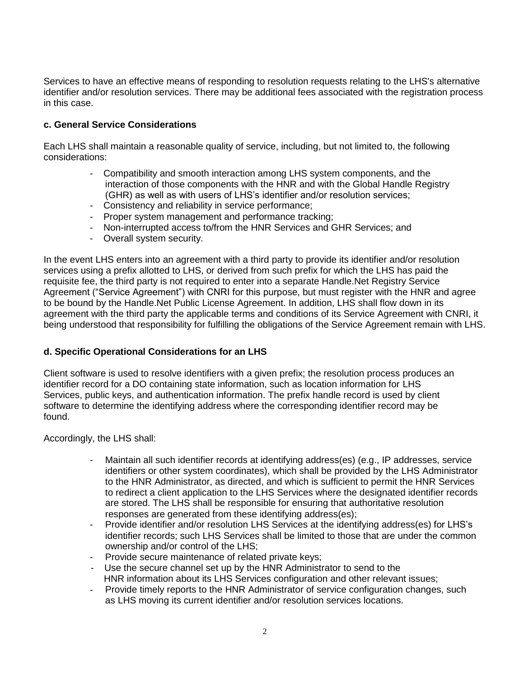Services to have an effective means of responding to resolution requests relating to the LHS's alternative identifier and/or resolution services. There may be additional fees associated with the registration process in this case.

# **c. General Service Considerations**

Each LHS shall maintain a reasonable quality of service, including, but not limited to, the following considerations:

- Compatibility and smooth interaction among LHS system components, and the interaction of those components with the HNR and with the Global Handle Registry (GHR) as well as with users of LHS's identifier and/or resolution services;
- Consistency and reliability in service performance;
- Proper system management and performance tracking;
- Non-interrupted access to/from the HNR Services and GHR Services; and
- Overall system security.

In the event LHS enters into an agreement with a third party to provide its identifier and/or resolution services using a prefix allotted to LHS, or derived from such prefix for which the LHS has paid the requisite fee, the third party is not required to enter into a separate Handle.Net Registry Service Agreement ("Service Agreement") with CNRI for this purpose, but must register with the HNR and agree to be bound by the Handle.Net Public License Agreement. In addition, LHS shall flow down in its agreement with the third party the applicable terms and conditions of its Service Agreement with CNRI, it being understood that responsibility for fulfilling the obligations of the Service Agreement remain with LHS.

## **d. Specific Operational Considerations for an LHS**

Client software is used to resolve identifiers with a given prefix; the resolution process produces an identifier record for a DO containing state information, such as location information for LHS Services, public keys, and authentication information. The prefix handle record is used by client software to determine the identifying address where the corresponding identifier record may be found.

Accordingly, the LHS shall:

- Maintain all such identifier records at identifying address(es) (e.g., IP addresses, service identifiers or other system coordinates), which shall be provided by the LHS Administrator to the HNR Administrator, as directed, and which is sufficient to permit the HNR Services to redirect a client application to the LHS Services where the designated identifier records are stored. The LHS shall be responsible for ensuring that authoritative resolution responses are generated from these identifying address(es);
- Provide identifier and/or resolution LHS Services at the identifying address(es) for LHS's identifier records; such LHS Services shall be limited to those that are under the common ownership and/or control of the LHS;
- Provide secure maintenance of related private keys;
- Use the secure channel set up by the HNR Administrator to send to the HNR information about its LHS Services configuration and other relevant issues;
- Provide timely reports to the HNR Administrator of service configuration changes, such as LHS moving its current identifier and/or resolution services locations.